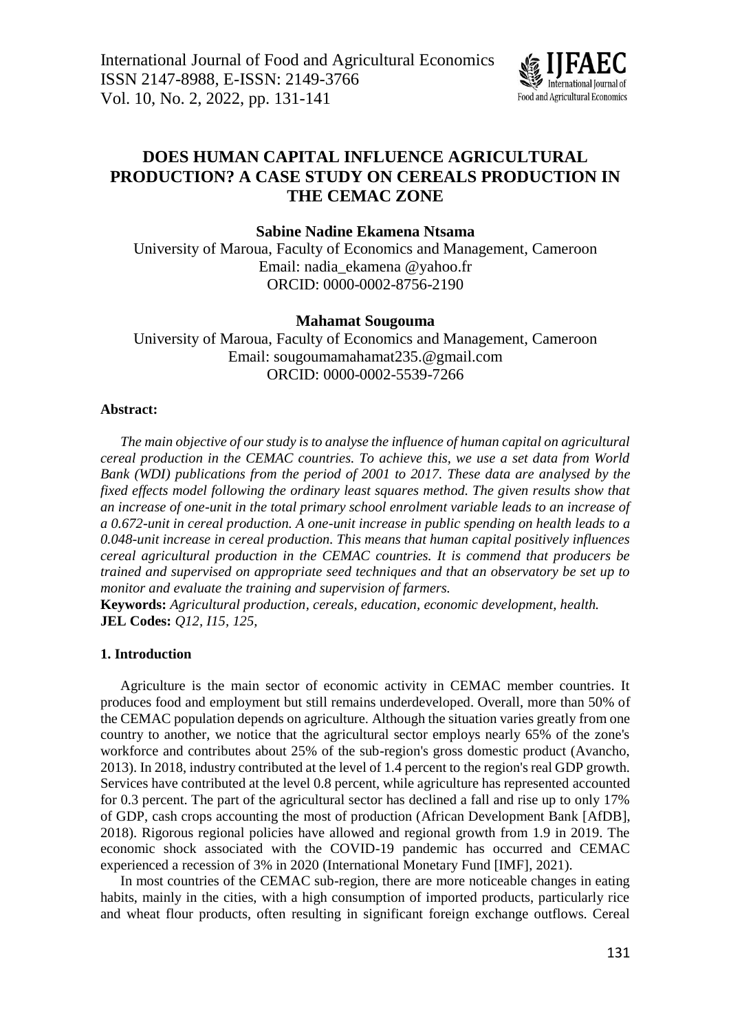

# **DOES HUMAN CAPITAL INFLUENCE AGRICULTURAL PRODUCTION? A CASE STUDY ON CEREALS PRODUCTION IN THE CEMAC ZONE**

## **Sabine Nadine Ekamena Ntsama**

University of Maroua, Faculty of Economics and Management, Cameroon Email: [nadia\\_ekamena.@yahoo.fr](mailto:nadia_ekamena@yahoo.fr) ORCID: 0000-0002-8756-2190

## **Mahamat Sougouma**

University of Maroua, Faculty of Economics and Management, Cameroon Email: sougoumamahamat235.@gmail.com ORCID: 0000-0002-5539-7266

#### **Abstract:**

*The main objective of our study is to analyse the influence of human capital on agricultural cereal production in the CEMAC countries. To achieve this, we use a set data from World Bank (WDI) publications from the period of 2001 to 2017. These data are analysed by the fixed effects model following the ordinary least squares method. The given results show that an increase of one-unit in the total primary school enrolment variable leads to an increase of a 0.672-unit in cereal production. A one-unit increase in public spending on health leads to a 0.048-unit increase in cereal production. This means that human capital positively influences cereal agricultural production in the CEMAC countries. It is commend that producers be trained and supervised on appropriate seed techniques and that an observatory be set up to monitor and evaluate the training and supervision of farmers.*

**Keywords:** *Agricultural production, cereals, education, economic development, health.* **JEL Codes:** *Q12, I15, 125,*

#### **1. Introduction**

Agriculture is the main sector of economic activity in CEMAC member countries. It produces food and employment but still remains underdeveloped. Overall, more than 50% of the CEMAC population depends on agriculture. Although the situation varies greatly from one country to another, we notice that the agricultural sector employs nearly 65% of the zone's workforce and contributes about 25% of the sub-region's gross domestic product (Avancho, 2013). In 2018, industry contributed at the level of 1.4 percent to the region's real GDP growth. Services have contributed at the level 0.8 percent, while agriculture has represented accounted for 0.3 percent. The part of the agricultural sector has declined a fall and rise up to only 17% of GDP, cash crops accounting the most of production (African Development Bank [AfDB], 2018). Rigorous regional policies have allowed and regional growth from 1.9 in 2019. The economic shock associated with the COVID-19 pandemic has occurred and CEMAC experienced a recession of 3% in 2020 (International Monetary Fund [IMF], 2021).

In most countries of the CEMAC sub-region, there are more noticeable changes in eating habits, mainly in the cities, with a high consumption of imported products, particularly rice and wheat flour products, often resulting in significant foreign exchange outflows. Cereal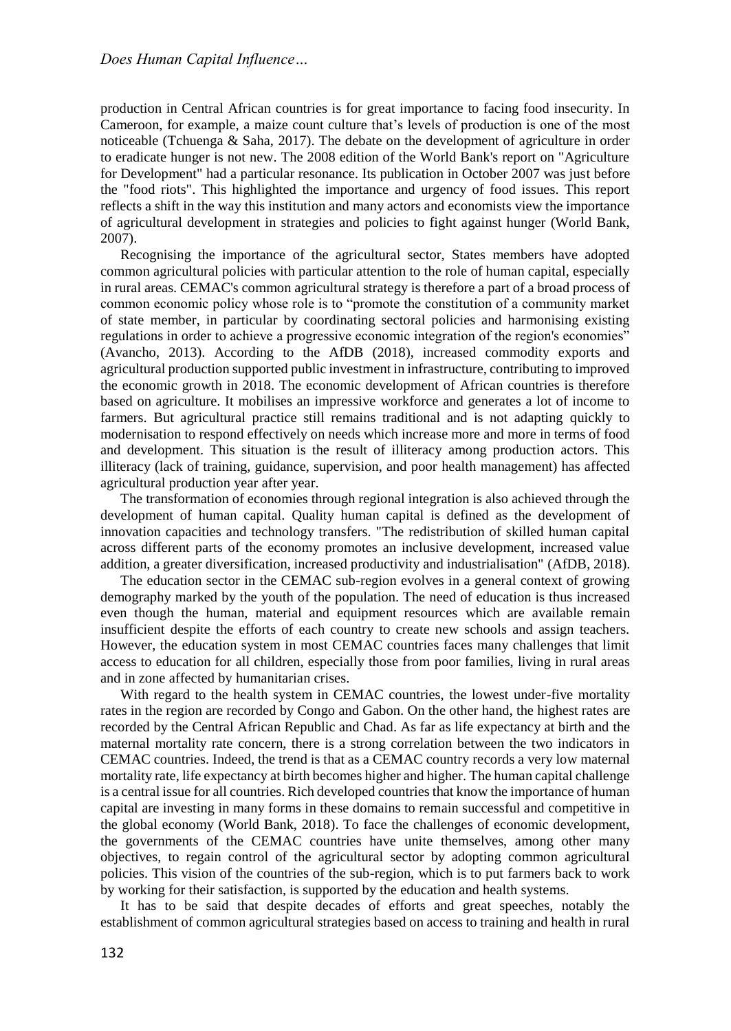production in Central African countries is for great importance to facing food insecurity. In Cameroon, for example, a maize count culture that's levels of production is one of the most noticeable (Tchuenga & Saha, 2017). The debate on the development of agriculture in order to eradicate hunger is not new. The 2008 edition of the World Bank's report on "Agriculture for Development" had a particular resonance. Its publication in October 2007 was just before the "food riots". This highlighted the importance and urgency of food issues. This report reflects a shift in the way this institution and many actors and economists view the importance of agricultural development in strategies and policies to fight against hunger (World Bank, 2007).

Recognising the importance of the agricultural sector, States members have adopted common agricultural policies with particular attention to the role of human capital, especially in rural areas. CEMAC's common agricultural strategy is therefore a part of a broad process of common economic policy whose role is to "promote the constitution of a community market of state member, in particular by coordinating sectoral policies and harmonising existing regulations in order to achieve a progressive economic integration of the region's economies" (Avancho, 2013). According to the AfDB (2018), increased commodity exports and agricultural production supported public investment in infrastructure, contributing to improved the economic growth in 2018. The economic development of African countries is therefore based on agriculture. It mobilises an impressive workforce and generates a lot of income to farmers. But agricultural practice still remains traditional and is not adapting quickly to modernisation to respond effectively on needs which increase more and more in terms of food and development. This situation is the result of illiteracy among production actors. This illiteracy (lack of training, guidance, supervision, and poor health management) has affected agricultural production year after year.

The transformation of economies through regional integration is also achieved through the development of human capital. Quality human capital is defined as the development of innovation capacities and technology transfers. "The redistribution of skilled human capital across different parts of the economy promotes an inclusive development, increased value addition, a greater diversification, increased productivity and industrialisation" (AfDB, 2018).

The education sector in the CEMAC sub-region evolves in a general context of growing demography marked by the youth of the population. The need of education is thus increased even though the human, material and equipment resources which are available remain insufficient despite the efforts of each country to create new schools and assign teachers. However, the education system in most CEMAC countries faces many challenges that limit access to education for all children, especially those from poor families, living in rural areas and in zone affected by humanitarian crises.

With regard to the health system in CEMAC countries, the lowest under-five mortality rates in the region are recorded by Congo and Gabon. On the other hand, the highest rates are recorded by the Central African Republic and Chad. As far as life expectancy at birth and the maternal mortality rate concern, there is a strong correlation between the two indicators in CEMAC countries. Indeed, the trend is that as a CEMAC country records a very low maternal mortality rate, life expectancy at birth becomes higher and higher. The human capital challenge is a central issue for all countries. Rich developed countries that know the importance of human capital are investing in many forms in these domains to remain successful and competitive in the global economy (World Bank, 2018). To face the challenges of economic development, the governments of the CEMAC countries have unite themselves, among other many objectives, to regain control of the agricultural sector by adopting common agricultural policies. This vision of the countries of the sub-region, which is to put farmers back to work by working for their satisfaction, is supported by the education and health systems.

It has to be said that despite decades of efforts and great speeches, notably the establishment of common agricultural strategies based on access to training and health in rural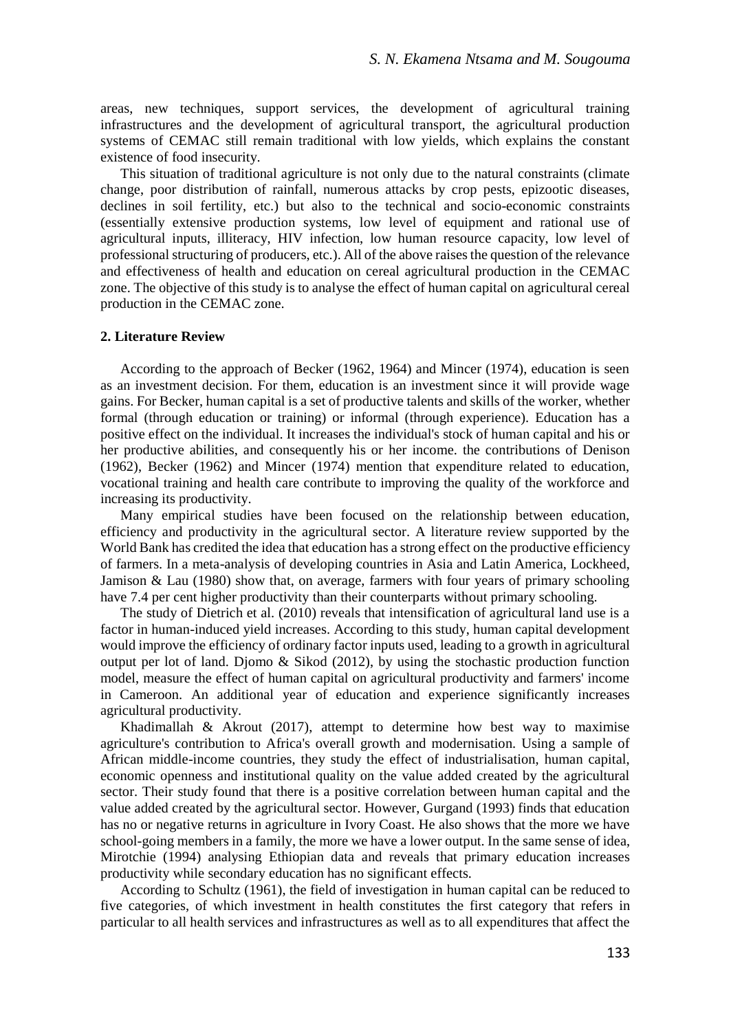areas, new techniques, support services, the development of agricultural training infrastructures and the development of agricultural transport, the agricultural production systems of CEMAC still remain traditional with low yields, which explains the constant existence of food insecurity.

This situation of traditional agriculture is not only due to the natural constraints (climate change, poor distribution of rainfall, numerous attacks by crop pests, epizootic diseases, declines in soil fertility, etc.) but also to the technical and socio-economic constraints (essentially extensive production systems, low level of equipment and rational use of agricultural inputs, illiteracy, HIV infection, low human resource capacity, low level of professional structuring of producers, etc.). All of the above raises the question of the relevance and effectiveness of health and education on cereal agricultural production in the CEMAC zone. The objective of this study is to analyse the effect of human capital on agricultural cereal production in the CEMAC zone.

#### **2. Literature Review**

According to the approach of Becker (1962, 1964) and Mincer (1974), education is seen as an investment decision. For them, education is an investment since it will provide wage gains. For Becker, human capital is a set of productive talents and skills of the worker, whether formal (through education or training) or informal (through experience). Education has a positive effect on the individual. It increases the individual's stock of human capital and his or her productive abilities, and consequently his or her income. the contributions of Denison (1962), Becker (1962) and Mincer (1974) mention that expenditure related to education, vocational training and health care contribute to improving the quality of the workforce and increasing its productivity.

Many empirical studies have been focused on the relationship between education, efficiency and productivity in the agricultural sector. A literature review supported by the World Bank has credited the idea that education has a strong effect on the productive efficiency of farmers. In a meta-analysis of developing countries in Asia and Latin America, Lockheed, Jamison & Lau (1980) show that, on average, farmers with four years of primary schooling have 7.4 per cent higher productivity than their counterparts without primary schooling.

The study of Dietrich et al. (2010) reveals that intensification of agricultural land use is a factor in human-induced yield increases. According to this study, human capital development would improve the efficiency of ordinary factor inputs used, leading to a growth in agricultural output per lot of land. Djomo & Sikod (2012), by using the stochastic production function model, measure the effect of human capital on agricultural productivity and farmers' income in Cameroon. An additional year of education and experience significantly increases agricultural productivity.

Khadimallah  $\&$  Akrout (2017), attempt to determine how best way to maximise agriculture's contribution to Africa's overall growth and modernisation. Using a sample of African middle-income countries, they study the effect of industrialisation, human capital, economic openness and institutional quality on the value added created by the agricultural sector. Their study found that there is a positive correlation between human capital and the value added created by the agricultural sector. However, Gurgand (1993) finds that education has no or negative returns in agriculture in Ivory Coast. He also shows that the more we have school-going members in a family, the more we have a lower output. In the same sense of idea, Mirotchie (1994) analysing Ethiopian data and reveals that primary education increases productivity while secondary education has no significant effects.

According to Schultz (1961), the field of investigation in human capital can be reduced to five categories, of which investment in health constitutes the first category that refers in particular to all health services and infrastructures as well as to all expenditures that affect the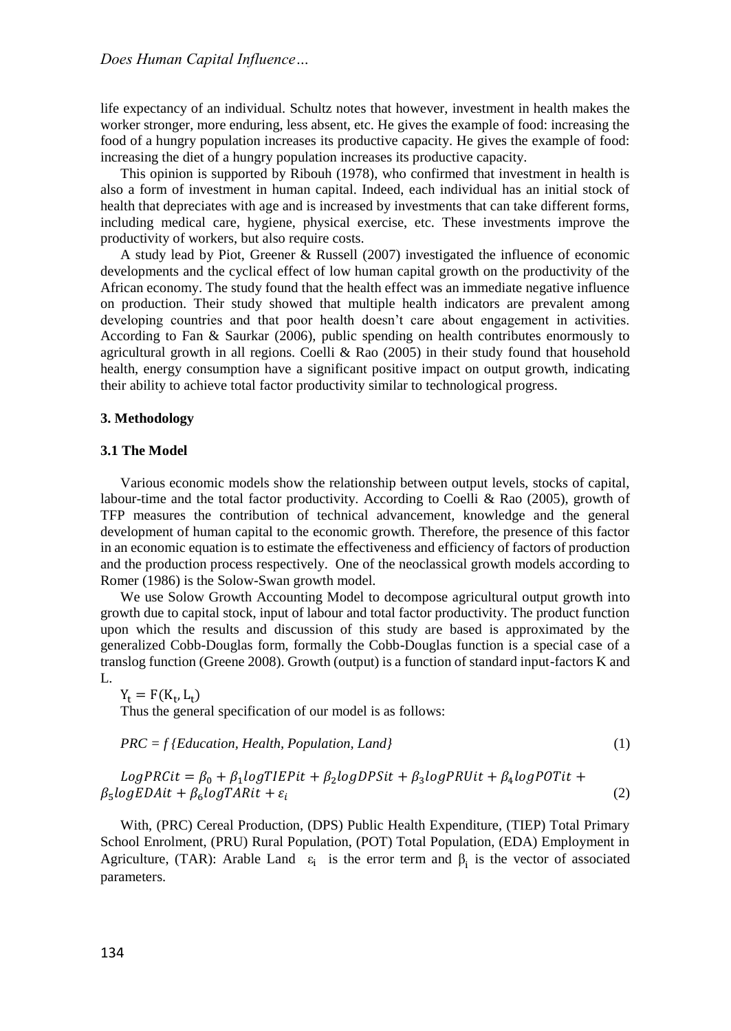life expectancy of an individual. Schultz notes that however, investment in health makes the worker stronger, more enduring, less absent, etc. He gives the example of food: increasing the food of a hungry population increases its productive capacity. He gives the example of food: increasing the diet of a hungry population increases its productive capacity.

This opinion is supported by Ribouh (1978), who confirmed that investment in health is also a form of investment in human capital. Indeed, each individual has an initial stock of health that depreciates with age and is increased by investments that can take different forms, including medical care, hygiene, physical exercise, etc. These investments improve the productivity of workers, but also require costs.

A study lead by Piot, Greener & Russell (2007) investigated the influence of economic developments and the cyclical effect of low human capital growth on the productivity of the African economy. The study found that the health effect was an immediate negative influence on production. Their study showed that multiple health indicators are prevalent among developing countries and that poor health doesn't care about engagement in activities. According to Fan & Saurkar (2006), public spending on health contributes enormously to agricultural growth in all regions. Coelli  $\&$  Rao (2005) in their study found that household health, energy consumption have a significant positive impact on output growth, indicating their ability to achieve total factor productivity similar to technological progress.

#### **3. Methodology**

#### **3.1 The Model**

Various economic models show the relationship between output levels, stocks of capital, labour-time and the total factor productivity. According to Coelli & Rao (2005), growth of TFP measures the contribution of technical advancement, knowledge and the general development of human capital to the economic growth. Therefore, the presence of this factor in an economic equation is to estimate the effectiveness and efficiency of factors of production and the production process respectively. One of the neoclassical growth models according to Romer (1986) is the Solow-Swan growth model.

We use Solow Growth Accounting Model to decompose agricultural output growth into growth due to capital stock, input of labour and total factor productivity. The product function upon which the results and discussion of this study are based is approximated by the generalized Cobb-Douglas form, formally the Cobb-Douglas function is a special case of a translog function (Greene 2008). Growth (output) is a function of standard input-factors K and L.

$$
Y_t = F(K_t, L_t)
$$

Thus the general specification of our model is as follows:

*PRC = f {Education, Health, Population, Land}* (1)

$$
LogPRCit = \beta_0 + \beta_1 logTIEPit + \beta_2 logDPSit + \beta_3 logPRUit + \beta_4 logPOTit + \beta_5 logEDAit + \beta_6 logTARit + \varepsilon_i
$$
\n(2)

With, (PRC) Cereal Production, (DPS) Public Health Expenditure, (TIEP) Total Primary School Enrolment, (PRU) Rural Population, (POT) Total Population, (EDA) Employment in Agriculture, (TAR): Arable Land  $\varepsilon_i$  is the error term and  $\beta_i$  is the vector of associated parameters.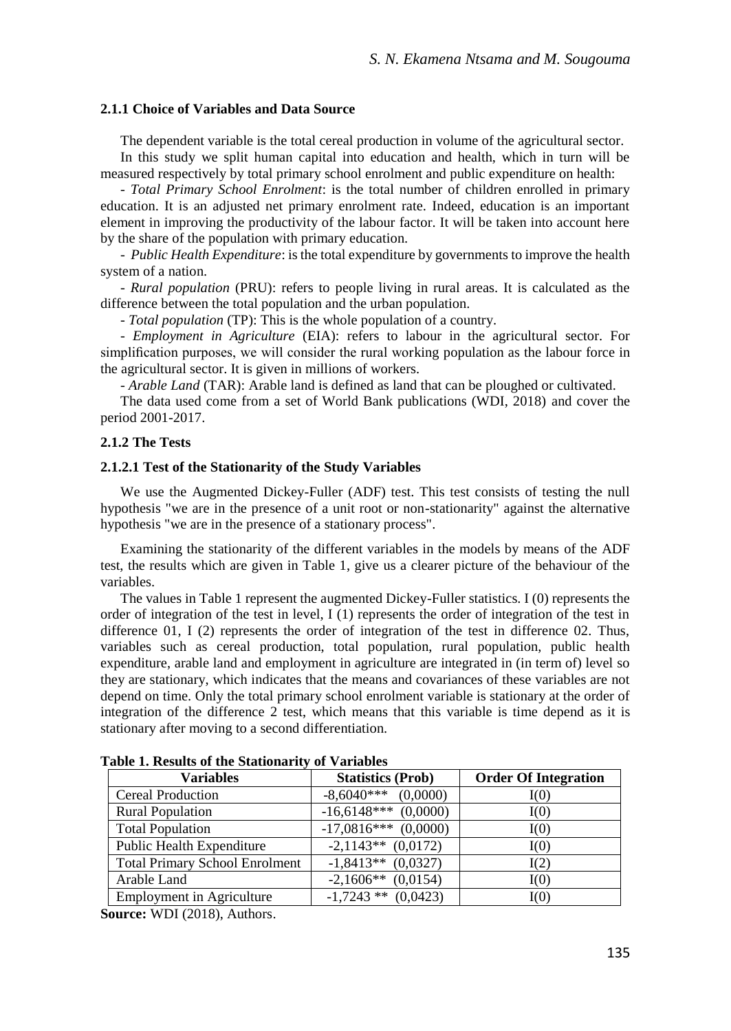#### **2.1.1 Choice of Variables and Data Source**

The dependent variable is the total cereal production in volume of the agricultural sector.

In this study we split human capital into education and health, which in turn will be measured respectively by total primary school enrolment and public expenditure on health:

- *Total Primary School Enrolment*: is the total number of children enrolled in primary education. It is an adjusted net primary enrolment rate. Indeed, education is an important element in improving the productivity of the labour factor. It will be taken into account here by the share of the population with primary education.

- *Public Health Expenditure*: is the total expenditure by governments to improve the health system of a nation.

- *Rural population* (PRU): refers to people living in rural areas. It is calculated as the difference between the total population and the urban population.

- *Total population* (TP): This is the whole population of a country.

- *Employment in Agriculture* (EIA): refers to labour in the agricultural sector. For simplification purposes, we will consider the rural working population as the labour force in the agricultural sector. It is given in millions of workers.

- *Arable Land* (TAR): Arable land is defined as land that can be ploughed or cultivated.

The data used come from a set of World Bank publications (WDI, 2018) and cover the period 2001-2017.

#### **2.1.2 The Tests**

#### **2.1.2.1 Test of the Stationarity of the Study Variables**

We use the Augmented Dickey-Fuller (ADF) test. This test consists of testing the null hypothesis "we are in the presence of a unit root or non-stationarity" against the alternative hypothesis "we are in the presence of a stationary process".

Examining the stationarity of the different variables in the models by means of the ADF test, the results which are given in Table 1, give us a clearer picture of the behaviour of the variables.

The values in Table 1 represent the augmented Dickey-Fuller statistics. I (0) represents the order of integration of the test in level, I (1) represents the order of integration of the test in difference 01, I (2) represents the order of integration of the test in difference 02. Thus, variables such as cereal production, total population, rural population, public health expenditure, arable land and employment in agriculture are integrated in (in term of) level so they are stationary, which indicates that the means and covariances of these variables are not depend on time. Only the total primary school enrolment variable is stationary at the order of integration of the difference 2 test, which means that this variable is time depend as it is stationary after moving to a second differentiation.

| <b>Variables</b>                      | <b>Statistics (Prob)</b> | <b>Order Of Integration</b> |
|---------------------------------------|--------------------------|-----------------------------|
| Cereal Production                     | $-8,6040***$ (0,0000)    | I(0)                        |
| <b>Rural Population</b>               | $-16,6148***$ (0,0000)   | I(0)                        |
| <b>Total Population</b>               | $-17,0816***$ (0,0000)   | I(0)                        |
| Public Health Expenditure             | $-2,1143**$ (0,0172)     | I(0)                        |
| <b>Total Primary School Enrolment</b> | $-1,8413**$ (0,0327)     | I(2)                        |
| Arable Land                           | $-2,1606**$ (0,0154)     | I(0)                        |
| <b>Employment in Agriculture</b>      | $-1,7243$ ** $(0,0423)$  | I(0)                        |

**Table 1. Results of the Stationarity of Variables**

**Source:** WDI (2018), Authors.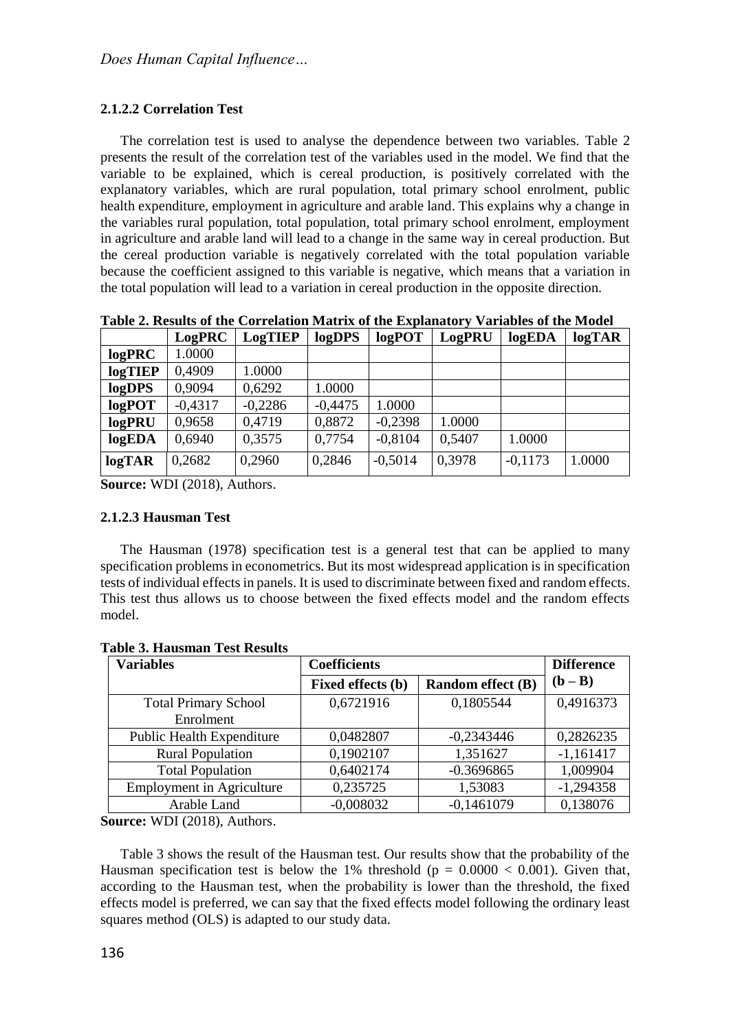## **2.1.2.2 Correlation Test**

The correlation test is used to analyse the dependence between two variables. Table 2 presents the result of the correlation test of the variables used in the model. We find that the variable to be explained, which is cereal production, is positively correlated with the explanatory variables, which are rural population, total primary school enrolment, public health expenditure, employment in agriculture and arable land. This explains why a change in the variables rural population, total population, total primary school enrolment, employment in agriculture and arable land will lead to a change in the same way in cereal production. But the cereal production variable is negatively correlated with the total population variable because the coefficient assigned to this variable is negative, which means that a variation in the total population will lead to a variation in cereal production in the opposite direction.

**Table 2. Results of the Correlation Matrix of the Explanatory Variables of the Model**

|           | LogPRC    | LogTIEP   | logDPS    | $log$ POT | LogPRU | logEDA    | logTAR |
|-----------|-----------|-----------|-----------|-----------|--------|-----------|--------|
| logPRC    | 1.0000    |           |           |           |        |           |        |
| logTIEP   | 0.4909    | 1.0000    |           |           |        |           |        |
| logDPS    | 0.9094    | 0.6292    | 1.0000    |           |        |           |        |
| $log$ POT | $-0.4317$ | $-0,2286$ | $-0.4475$ | 1.0000    |        |           |        |
| logPRU    | 0,9658    | 0.4719    | 0,8872    | $-0,2398$ | 1.0000 |           |        |
| logEDA    | 0.6940    | 0.3575    | 0.7754    | $-0.8104$ | 0.5407 | 1.0000    |        |
| logTAR    | 0.2682    | 0.2960    | 0.2846    | $-0,5014$ | 0.3978 | $-0.1173$ | 1.0000 |

**Source:** WDI (2018), Authors.

## **2.1.2.3 Hausman Test**

The Hausman (1978) specification test is a general test that can be applied to many specification problems in econometrics. But its most widespread application is in specification tests of individual effects in panels. It is used to discriminate between fixed and random effects. This test thus allows us to choose between the fixed effects model and the random effects model.

| <b>Variables</b>                 | <b>Coefficients</b> | <b>Difference</b>        |             |
|----------------------------------|---------------------|--------------------------|-------------|
|                                  | Fixed effects (b)   | <b>Random effect</b> (B) | $(b - B)$   |
| <b>Total Primary School</b>      | 0,6721916           | 0,1805544                | 0,4916373   |
| Enrolment                        |                     |                          |             |
| <b>Public Health Expenditure</b> | 0,0482807           | $-0,2343446$             | 0,2826235   |
| <b>Rural Population</b>          | 0.1902107           | 1.351627                 | $-1,161417$ |
| <b>Total Population</b>          | 0.6402174           | $-0.3696865$             | 1.009904    |
| <b>Employment in Agriculture</b> | 0,235725            | 1,53083                  | $-1,294358$ |
| Arable Land                      | $-0,008032$         | $-0,1461079$             | 0,138076    |

**Table 3. Hausman Test Results**

**Source:** WDI (2018), Authors.

Table 3 shows the result of the Hausman test. Our results show that the probability of the Hausman specification test is below the 1% threshold ( $p = 0.0000 < 0.001$ ). Given that, according to the Hausman test, when the probability is lower than the threshold, the fixed effects model is preferred, we can say that the fixed effects model following the ordinary least squares method (OLS) is adapted to our study data.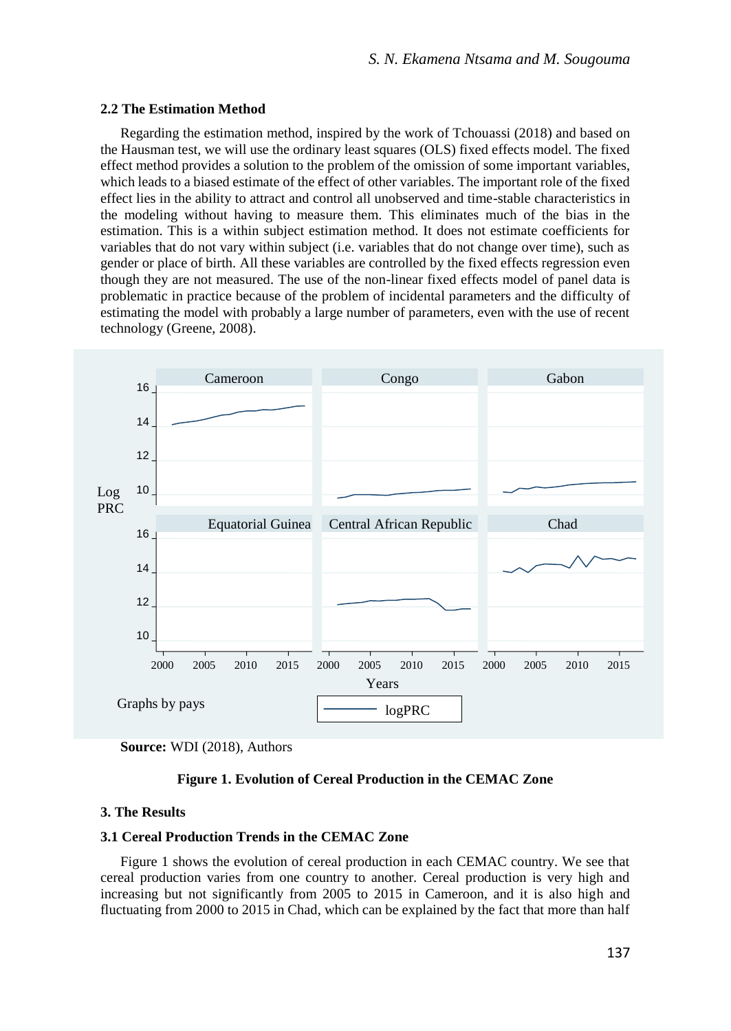#### **2.2 The Estimation Method**

Regarding the estimation method, inspired by the work of Tchouassi (2018) and based on the Hausman test, we will use the ordinary least squares (OLS) fixed effects model. The fixed effect method provides a solution to the problem of the omission of some important variables, which leads to a biased estimate of the effect of other variables. The important role of the fixed effect lies in the ability to attract and control all unobserved and time-stable characteristics in the modeling without having to measure them. This eliminates much of the bias in the estimation. This is a within subject estimation method. It does not estimate coefficients for variables that do not vary within subject (i.e. variables that do not change over time), such as gender or place of birth. All these variables are controlled by the fixed effects regression even though they are not measured. The use of the non-linear fixed effects model of panel data is problematic in practice because of the problem of incidental parameters and the difficulty of estimating the model with probably a large number of parameters, even with the use of recent technology (Greene, 2008).



**Source:** WDI (2018), Authors

## **Figure 1. Evolution of Cereal Production in the CEMAC Zone**

#### **3. The Results**

## **3.1 Cereal Production Trends in the CEMAC Zone**

Figure 1 shows the evolution of cereal production in each CEMAC country. We see that cereal production varies from one country to another. Cereal production is very high and increasing but not significantly from 2005 to 2015 in Cameroon, and it is also high and fluctuating from 2000 to 2015 in Chad, which can be explained by the fact that more than half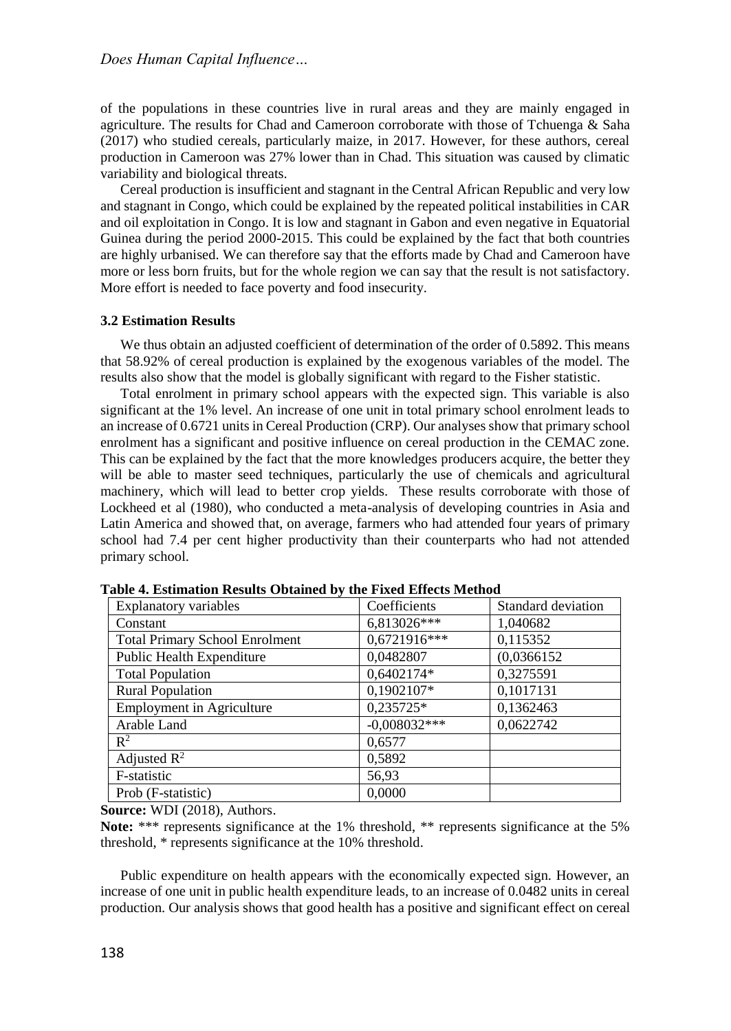of the populations in these countries live in rural areas and they are mainly engaged in agriculture. The results for Chad and Cameroon corroborate with those of Tchuenga & Saha (2017) who studied cereals, particularly maize, in 2017. However, for these authors, cereal production in Cameroon was 27% lower than in Chad. This situation was caused by climatic variability and biological threats.

Cereal production is insufficient and stagnant in the Central African Republic and very low and stagnant in Congo, which could be explained by the repeated political instabilities in CAR and oil exploitation in Congo. It is low and stagnant in Gabon and even negative in Equatorial Guinea during the period 2000-2015. This could be explained by the fact that both countries are highly urbanised. We can therefore say that the efforts made by Chad and Cameroon have more or less born fruits, but for the whole region we can say that the result is not satisfactory. More effort is needed to face poverty and food insecurity.

#### **3.2 Estimation Results**

We thus obtain an adjusted coefficient of determination of the order of 0.5892. This means that 58.92% of cereal production is explained by the exogenous variables of the model. The results also show that the model is globally significant with regard to the Fisher statistic.

Total enrolment in primary school appears with the expected sign. This variable is also significant at the 1% level. An increase of one unit in total primary school enrolment leads to an increase of 0.6721 units in Cereal Production (CRP). Our analyses show that primary school enrolment has a significant and positive influence on cereal production in the CEMAC zone. This can be explained by the fact that the more knowledges producers acquire, the better they will be able to master seed techniques, particularly the use of chemicals and agricultural machinery, which will lead to better crop yields. These results corroborate with those of Lockheed et al (1980), who conducted a meta-analysis of developing countries in Asia and Latin America and showed that, on average, farmers who had attended four years of primary school had 7.4 per cent higher productivity than their counterparts who had not attended primary school.

| Explanatory variables                 | Coefficients   | Standard deviation |
|---------------------------------------|----------------|--------------------|
| Constant                              | 6,813026***    | 1.040682           |
| <b>Total Primary School Enrolment</b> | $0,6721916***$ | 0,115352           |
| <b>Public Health Expenditure</b>      | 0,0482807      | (0,0366152)        |
| <b>Total Population</b>               | 0,6402174*     | 0,3275591          |
| <b>Rural Population</b>               | 0,1902107*     | 0,1017131          |
| <b>Employment</b> in Agriculture      | 0,235725*      | 0,1362463          |
| Arable Land                           | $-0,008032***$ | 0,0622742          |
| $\mathbb{R}^2$                        | 0,6577         |                    |
| Adjusted $\mathbb{R}^2$               | 0,5892         |                    |
| F-statistic                           | 56,93          |                    |
| Prob (F-statistic)                    | 0.0000         |                    |

**Table 4. Estimation Results Obtained by the Fixed Effects Method**

**Source:** WDI (2018), Authors.

**Note:** \*\*\* represents significance at the 1% threshold, \*\* represents significance at the 5% threshold, \* represents significance at the 10% threshold.

Public expenditure on health appears with the economically expected sign. However, an increase of one unit in public health expenditure leads, to an increase of 0.0482 units in cereal production. Our analysis shows that good health has a positive and significant effect on cereal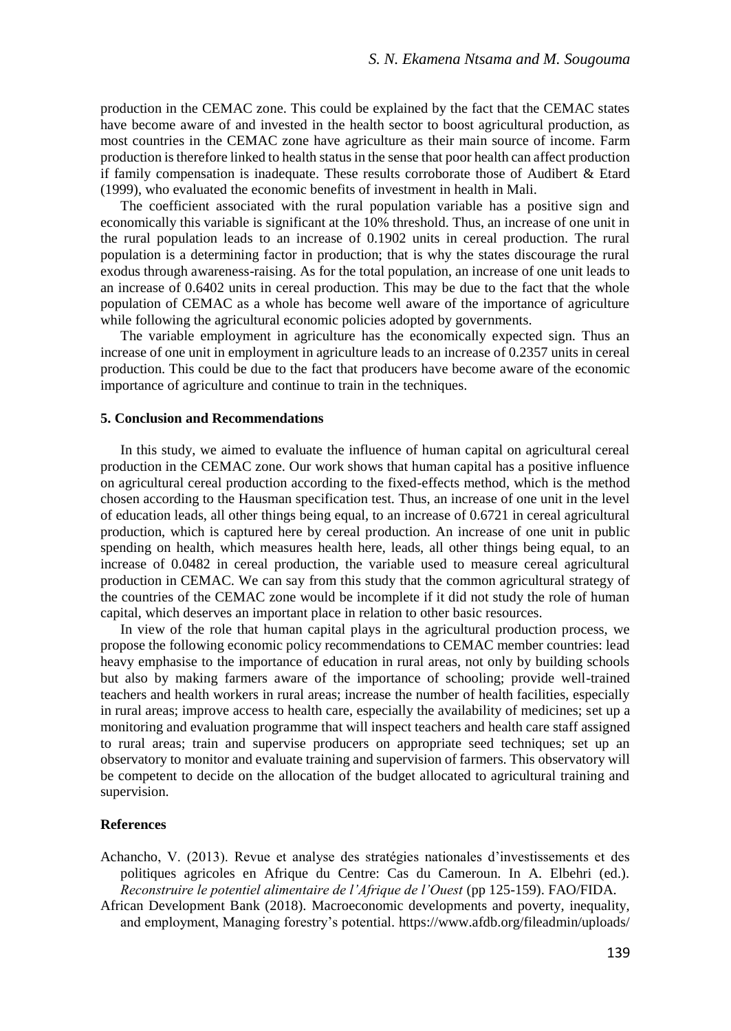production in the CEMAC zone. This could be explained by the fact that the CEMAC states have become aware of and invested in the health sector to boost agricultural production, as most countries in the CEMAC zone have agriculture as their main source of income. Farm production is therefore linked to health status in the sense that poor health can affect production if family compensation is inadequate. These results corroborate those of Audibert & Etard (1999), who evaluated the economic benefits of investment in health in Mali.

The coefficient associated with the rural population variable has a positive sign and economically this variable is significant at the 10% threshold. Thus, an increase of one unit in the rural population leads to an increase of 0.1902 units in cereal production. The rural population is a determining factor in production; that is why the states discourage the rural exodus through awareness-raising. As for the total population, an increase of one unit leads to an increase of 0.6402 units in cereal production. This may be due to the fact that the whole population of CEMAC as a whole has become well aware of the importance of agriculture while following the agricultural economic policies adopted by governments.

The variable employment in agriculture has the economically expected sign. Thus an increase of one unit in employment in agriculture leads to an increase of 0.2357 units in cereal production. This could be due to the fact that producers have become aware of the economic importance of agriculture and continue to train in the techniques.

#### **5. Conclusion and Recommendations**

In this study, we aimed to evaluate the influence of human capital on agricultural cereal production in the CEMAC zone. Our work shows that human capital has a positive influence on agricultural cereal production according to the fixed-effects method, which is the method chosen according to the Hausman specification test. Thus, an increase of one unit in the level of education leads, all other things being equal, to an increase of 0.6721 in cereal agricultural production, which is captured here by cereal production. An increase of one unit in public spending on health, which measures health here, leads, all other things being equal, to an increase of 0.0482 in cereal production, the variable used to measure cereal agricultural production in CEMAC. We can say from this study that the common agricultural strategy of the countries of the CEMAC zone would be incomplete if it did not study the role of human capital, which deserves an important place in relation to other basic resources.

In view of the role that human capital plays in the agricultural production process, we propose the following economic policy recommendations to CEMAC member countries: lead heavy emphasise to the importance of education in rural areas, not only by building schools but also by making farmers aware of the importance of schooling; provide well-trained teachers and health workers in rural areas; increase the number of health facilities, especially in rural areas; improve access to health care, especially the availability of medicines; set up a monitoring and evaluation programme that will inspect teachers and health care staff assigned to rural areas; train and supervise producers on appropriate seed techniques; set up an observatory to monitor and evaluate training and supervision of farmers. This observatory will be competent to decide on the allocation of the budget allocated to agricultural training and supervision.

#### **References**

- Achancho, V. (2013). Revue et analyse des stratégies nationales d'investissements et des politiques agricoles en Afrique du Centre: Cas du Cameroun. In A. Elbehri (ed.). *Reconstruire le potentiel alimentaire de l'Afrique de l'Ouest* (pp 125-159). FAO/FIDA.
- African Development Bank (2018). Macroeconomic developments and poverty, inequality, and employment, Managing forestry's potential. <https://www.afdb.org/fileadmin/uploads/>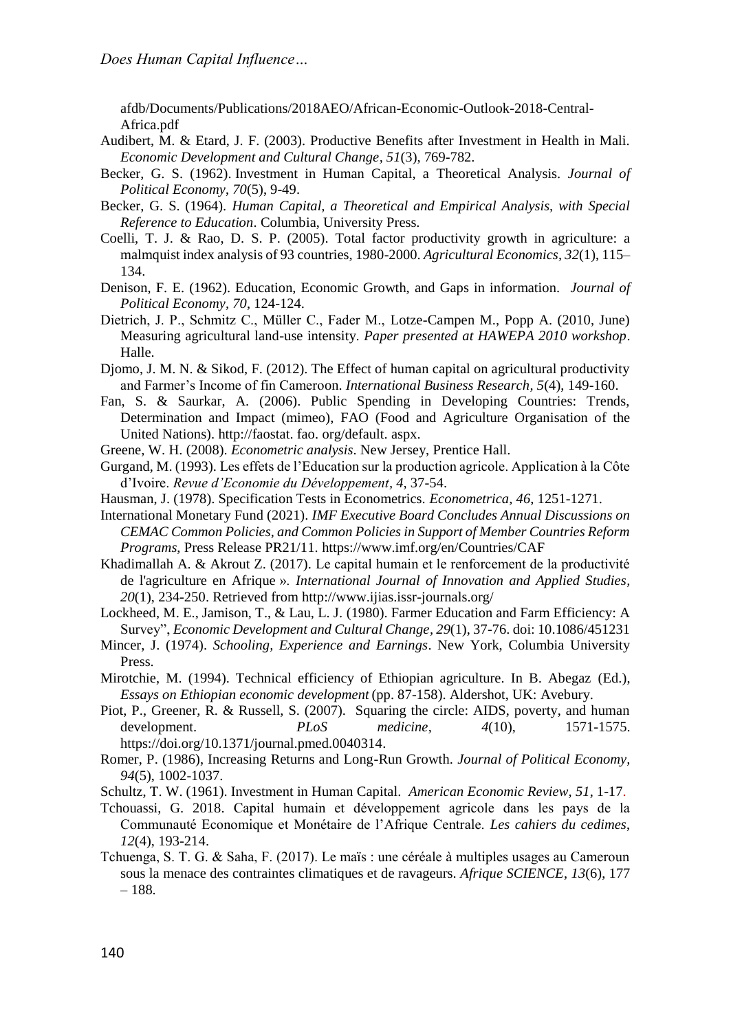afdb/Documents/Publications/2018AEO/African-Economic-Outlook-2018-Central-Africa.pdf

- Audibert, M. & Etard, J. F. (2003). Productive Benefits after Investment in Health in Mali. *Economic Development and Cultural Change, 51*(3), 769-782.
- Becker, G. S. (1962). Investment in Human Capital, a Theoretical Analysis. *Journal of Political Economy*, *70*(5), 9-49.
- Becker, G. S. (1964). *Human Capital, a Theoretical and Empirical Analysis, with Special Reference to Education*. Columbia, University Press.
- Coelli, T. J. & Rao, D. S. P. (2005). Total factor productivity growth in agriculture: a malmquist index analysis of 93 countries, 1980-2000. *Agricultural Economics, 32*(1), 115– 134.
- Denison, F. E. (1962). Education, Economic Growth, and Gaps in information. *Journal of Political Economy, 70*, 124-124.
- Dietrich, J. P., Schmitz C., Müller C., Fader M., Lotze-Campen M., Popp A. (2010, June) Measuring agricultural land-use intensity. *Paper presented at HAWEPA 2010 workshop*. Halle.
- Djomo, J. M. N. & Sikod, F. (2012). The Effect of human capital on agricultural productivity and Farmer's Income of fin Cameroon. *International Business Research, 5*(4), 149-160.
- Fan, S. & Saurkar, A. (2006). Public Spending in Developing Countries: Trends, Determination and Impact (mimeo), FAO (Food and Agriculture Organisation of the United Nations). http://faostat. fao. org/default. aspx.
- Greene, W. H. (2008). *Econometric analysis*. New Jersey, Prentice Hall.
- Gurgand, M. (1993). Les effets de l'Education sur la production agricole. Application à la Côte d'Ivoire. *Revue d'Economie du Développement, 4*, 37-54.
- Hausman, J. (1978). Specification Tests in Econometrics. *Econometrica, 46*, 1251-1271.
- International Monetary Fund (2021). *IMF Executive Board Concludes Annual Discussions on CEMAC Common Policies, and Common Policies in Support of Member Countries Reform Programs*, Press Release PR21/11. https://www.imf.org/en/Countries/CAF
- Khadimallah A. & Akrout Z. (2017). Le capital humain et le renforcement de la productivité de l'agriculture en Afrique ». *International Journal of Innovation and Applied Studies, 20*(1), 234-250. Retrieved from http://www.ijias.issr-journals.org/
- Lockheed, M. E., Jamison, T., & Lau, L. J. (1980). Farmer Education and Farm Efficiency: A Survey", *Economic Development and Cultural Change, 29*(1), 37-76. doi: 10.1086/451231
- Mincer, J. (1974). *Schooling, Experience and Earnings*. New York, Columbia University Press.
- Mirotchie, M. (1994). Technical efficiency of Ethiopian agriculture. In B. Abegaz (Ed.), *Essays on Ethiopian economic development* (pp. 87-158). Aldershot, UK: Avebury.
- Piot, P., Greener, R. & Russell, S. (2007). Squaring the circle: AIDS, poverty, and human development. *PLoS medicine, 4*(10), 1571-1575. https://doi.org/10.1371/journal.pmed.0040314.
- Romer, P. (1986), Increasing Returns and Long-Run Growth. *Journal of Political Economy, 94*(5), 1002-1037.
- Schultz, T. W. (1961). Investment in Human Capital. *American Economic Review, 51*, 1-17.
- Tchouassi, G. 2018. Capital humain et développement agricole dans les pays de la Communauté Economique et Monétaire de l'Afrique Centrale. *Les cahiers du cedimes*, *12*(4), 193-214.
- Tchuenga, S. T. G. & Saha, F. (2017). Le maïs : une céréale à multiples usages au Cameroun sous la menace des contraintes climatiques et de ravageurs. *Afrique SCIENCE*, *13*(6), 177 – 188.